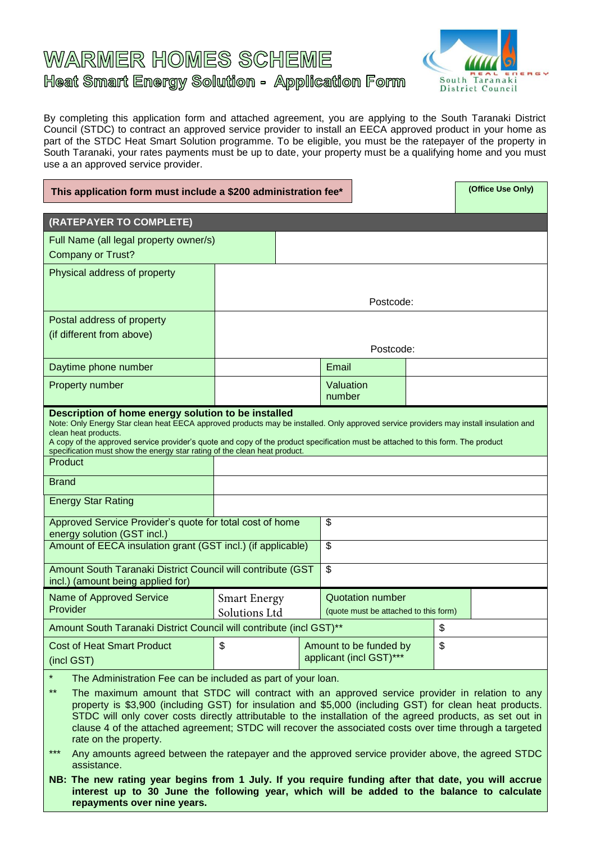# **WARMER HOMES SCHEME** Heat Smart Energy Solution - Application Form



By completing this application form and attached agreement, you are applying to the South Taranaki District Council (STDC) to contract an approved service provider to install an EECA approved product in your home as part of the STDC Heat Smart Solution programme. To be eligible, you must be the ratepayer of the property in South Taranaki, your rates payments must be up to date, your property must be a qualifying home and you must use a an approved service provider.

| This application form must include a \$200 administration fee*                                                                                                                                                                                                                                                                                           | (Office Use Only)   |                         |                                       |    |  |  |  |
|----------------------------------------------------------------------------------------------------------------------------------------------------------------------------------------------------------------------------------------------------------------------------------------------------------------------------------------------------------|---------------------|-------------------------|---------------------------------------|----|--|--|--|
|                                                                                                                                                                                                                                                                                                                                                          |                     |                         |                                       |    |  |  |  |
| (RATEPAYER TO COMPLETE)                                                                                                                                                                                                                                                                                                                                  |                     |                         |                                       |    |  |  |  |
| Full Name (all legal property owner/s)                                                                                                                                                                                                                                                                                                                   |                     |                         |                                       |    |  |  |  |
| <b>Company or Trust?</b>                                                                                                                                                                                                                                                                                                                                 |                     |                         |                                       |    |  |  |  |
| Physical address of property                                                                                                                                                                                                                                                                                                                             |                     |                         |                                       |    |  |  |  |
|                                                                                                                                                                                                                                                                                                                                                          |                     |                         |                                       |    |  |  |  |
|                                                                                                                                                                                                                                                                                                                                                          |                     | Postcode:               |                                       |    |  |  |  |
| Postal address of property                                                                                                                                                                                                                                                                                                                               |                     |                         |                                       |    |  |  |  |
| (if different from above)                                                                                                                                                                                                                                                                                                                                |                     |                         |                                       |    |  |  |  |
|                                                                                                                                                                                                                                                                                                                                                          | Postcode:           |                         |                                       |    |  |  |  |
| Daytime phone number                                                                                                                                                                                                                                                                                                                                     |                     |                         | Email                                 |    |  |  |  |
| Property number                                                                                                                                                                                                                                                                                                                                          |                     |                         | Valuation                             |    |  |  |  |
|                                                                                                                                                                                                                                                                                                                                                          |                     |                         | number                                |    |  |  |  |
| Description of home energy solution to be installed<br>Note: Only Energy Star clean heat EECA approved products may be installed. Only approved service providers may install insulation and<br>clean heat products.<br>A copy of the approved service provider's quote and copy of the product specification must be attached to this form. The product |                     |                         |                                       |    |  |  |  |
| specification must show the energy star rating of the clean heat product.<br>Product                                                                                                                                                                                                                                                                     |                     |                         |                                       |    |  |  |  |
|                                                                                                                                                                                                                                                                                                                                                          |                     |                         |                                       |    |  |  |  |
| <b>Brand</b>                                                                                                                                                                                                                                                                                                                                             |                     |                         |                                       |    |  |  |  |
| <b>Energy Star Rating</b>                                                                                                                                                                                                                                                                                                                                |                     |                         |                                       |    |  |  |  |
| Approved Service Provider's quote for total cost of home                                                                                                                                                                                                                                                                                                 |                     |                         | \$                                    |    |  |  |  |
| energy solution (GST incl.)<br>Amount of EECA insulation grant (GST incl.) (if applicable)                                                                                                                                                                                                                                                               |                     |                         | \$                                    |    |  |  |  |
|                                                                                                                                                                                                                                                                                                                                                          |                     |                         |                                       |    |  |  |  |
| Amount South Taranaki District Council will contribute (GST<br>incl.) (amount being applied for)                                                                                                                                                                                                                                                         |                     |                         | \$                                    |    |  |  |  |
| Name of Approved Service                                                                                                                                                                                                                                                                                                                                 | <b>Smart Energy</b> |                         | <b>Quotation number</b>               |    |  |  |  |
| Provider                                                                                                                                                                                                                                                                                                                                                 | Solutions Ltd       |                         | (quote must be attached to this form) |    |  |  |  |
| Amount South Taranaki District Council will contribute (incl GST)**                                                                                                                                                                                                                                                                                      |                     |                         |                                       | \$ |  |  |  |
| <b>Cost of Heat Smart Product</b>                                                                                                                                                                                                                                                                                                                        | \$                  |                         | Amount to be funded by                | \$ |  |  |  |
| (incl GST)                                                                                                                                                                                                                                                                                                                                               |                     | applicant (incl GST)*** |                                       |    |  |  |  |
| $\star$<br>The Administration Fee can be included as part of your loan.                                                                                                                                                                                                                                                                                  |                     |                         |                                       |    |  |  |  |
| $\star\star$<br>The maximum amount that STDC will contract with an approved service provider in relation to any                                                                                                                                                                                                                                          |                     |                         |                                       |    |  |  |  |

\*\* The maximum amount that STDC will contract with an approved service provider in relation to any property is \$3,900 (including GST) for insulation and \$5,000 (including GST) for clean heat products. STDC will only cover costs directly attributable to the installation of the agreed products, as set out in clause 4 of the attached agreement; STDC will recover the associated costs over time through a targeted rate on the property.

\*\*\* Any amounts agreed between the ratepayer and the approved service provider above, the agreed STDC assistance.

**NB: The new rating year begins from 1 July. If you require funding after that date, you will accrue interest up to 30 June the following year, which will be added to the balance to calculate repayments over nine years.**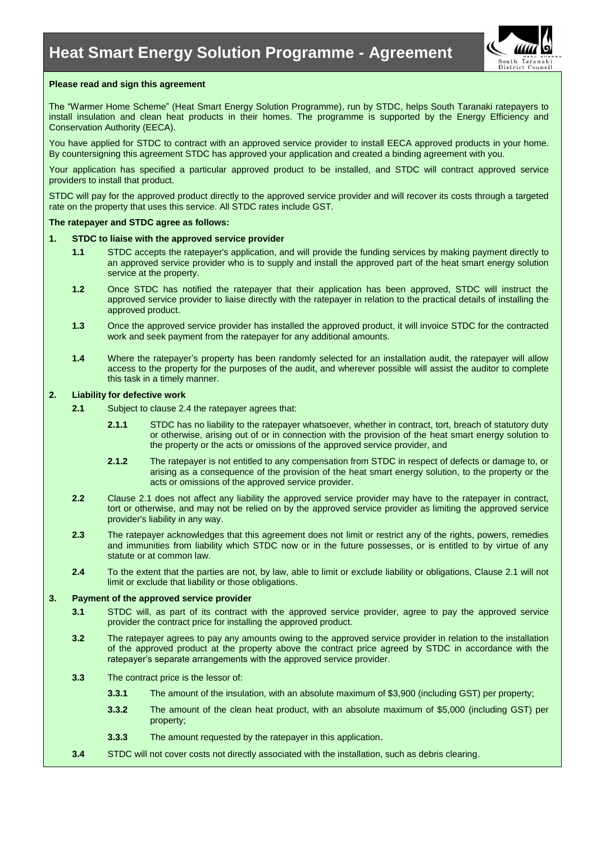

### **Please read and sign this agreement**

The "Warmer Home Scheme" (Heat Smart Energy Solution Programme), run by STDC, helps South Taranaki ratepayers to install insulation and clean heat products in their homes. The programme is supported by the Energy Efficiency and Conservation Authority (EECA).

You have applied for STDC to contract with an approved service provider to install EECA approved products in your home. By countersigning this agreement STDC has approved your application and created a binding agreement with you.

Your application has specified a particular approved product to be installed, and STDC will contract approved service providers to install that product.

STDC will pay for the approved product directly to the approved service provider and will recover its costs through a targeted rate on the property that uses this service. All STDC rates include GST.

#### **The ratepayer and STDC agree as follows:**

#### **1. STDC to liaise with the approved service provider**

- **1.1** STDC accepts the ratepayer's application, and will provide the funding services by making payment directly to an approved service provider who is to supply and install the approved part of the heat smart energy solution service at the property.
- **1.2** Once STDC has notified the ratepayer that their application has been approved, STDC will instruct the approved service provider to liaise directly with the ratepayer in relation to the practical details of installing the approved product.
- **1.3** Once the approved service provider has installed the approved product, it will invoice STDC for the contracted work and seek payment from the ratepayer for any additional amounts.
- **1.4** Where the ratepayer's property has been randomly selected for an installation audit, the ratepayer will allow access to the property for the purposes of the audit, and wherever possible will assist the auditor to complete this task in a timely manner.

#### <span id="page-1-0"></span>**2. Liability for defective work**

- **2.1** Subject to clause 2.4 the ratepayer agrees that:
	- **2.1.1** STDC has no liability to the ratepayer whatsoever, whether in contract, tort, breach of statutory duty or otherwise, arising out of or in connection with the provision of the heat smart energy solution to the property or the acts or omissions of the approved service provider, and
	- **2.1.2** The ratepayer is not entitled to any compensation from STDC in respect of defects or damage to, or arising as a consequence of the provision of the heat smart energy solution, to the property or the acts or omissions of the approved service provider.
- **2.2** Clause [2.1](#page-1-0) does not affect any liability the approved service provider may have to the ratepayer in contract, tort or otherwise, and may not be relied on by the approved service provider as limiting the approved service provider's liability in any way.
- **2.3** The ratepayer acknowledges that this agreement does not limit or restrict any of the rights, powers, remedies and immunities from liability which STDC now or in the future possesses, or is entitled to by virtue of any statute or at common law.
- **2.4** To the extent that the parties are not, by law, able to limit or exclude liability or obligations, Clause 2.1 will not limit or exclude that liability or those obligations.

#### **3. Payment of the approved service provider**

- **3.1** STDC will, as part of its contract with the approved service provider, agree to pay the approved service provider the contract price for installing the approved product.
- **3.2** The ratepayer agrees to pay any amounts owing to the approved service provider in relation to the installation of the approved product at the property above the contract price agreed by STDC in accordance with the ratepayer's separate arrangements with the approved service provider.
- <span id="page-1-1"></span>**3.3** The contract price is the lessor of:
	- **3.3.1** The amount of the insulation, with an absolute maximum of \$3,900 (including GST) per property;
	- **3.3.2** The amount of the clean heat product, with an absolute maximum of \$5,000 (including GST) per property;
	- **3.3.3** The amount requested by the ratepayer in this application.
- **3.4** STDC will not cover costs not directly associated with the installation, such as debris clearing.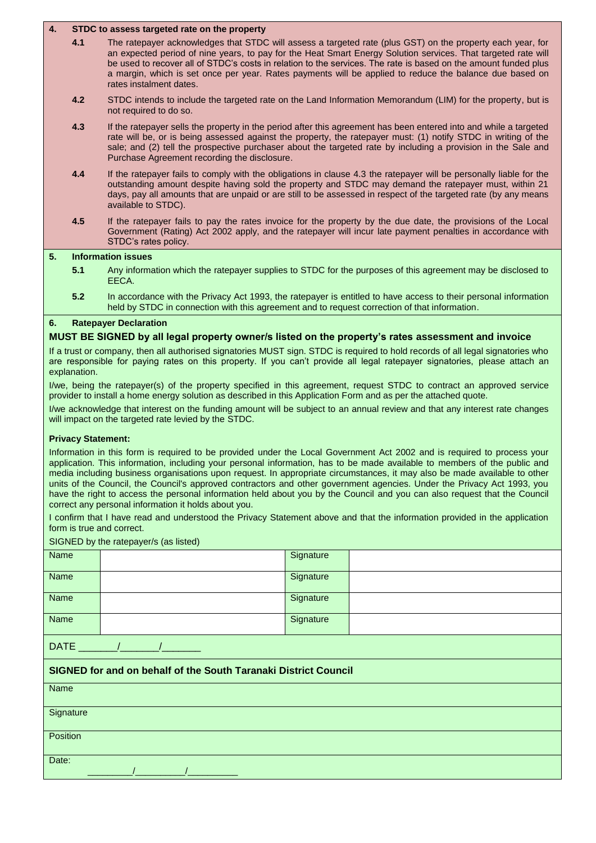## **4. STDC to assess targeted rate on the property**

- **4.1** The ratepayer acknowledges that STDC will assess a targeted rate (plus GST) on the property each year, for an expected period of nine years, to pay for the Heat Smart Energy Solution services. That targeted rate will be used to recover all of STDC's costs in relation to the services. The rate is based on the amount funded plus a margin, which is set once per year. Rates payments will be applied to reduce the balance due based on rates instalment dates.
- **4.2** STDC intends to include the targeted rate on the Land Information Memorandum (LIM) for the property, but is not required to do so.
- **4.3** If the ratepayer sells the property in the period after this agreement has been entered into and while a targeted rate will be, or is being assessed against the property, the ratepayer must: (1) notify STDC in writing of the sale; and (2) tell the prospective purchaser about the targeted rate by including a provision in the Sale and Purchase Agreement recording the disclosure.
- **4.4** If the ratepayer fails to comply with the obligations in clause 4.3 the ratepayer will be personally liable for the outstanding amount despite having sold the property and STDC may demand the ratepayer must, within 21 days, pay all amounts that are unpaid or are still to be assessed in respect of the targeted rate (by any means available to STDC).
- **4.5** If the ratepayer fails to pay the rates invoice for the property by the due date, the provisions of the Local Government (Rating) Act 2002 apply, and the ratepayer will incur late payment penalties in accordance with STDC's rates policy.

## **5. Information issues**

- **5.1** Any information which the ratepayer supplies to STDC for the purposes of this agreement may be disclosed to EECA.
- **5.2** In accordance with the Privacy Act 1993, the ratepayer is entitled to have access to their personal information held by STDC in connection with this agreement and to request correction of that information.

# **6. Ratepayer Declaration**

# **MUST BE SIGNED by all legal property owner/s listed on the property's rates assessment and invoice**

If a trust or company, then all authorised signatories MUST sign. STDC is required to hold records of all legal signatories who are responsible for paying rates on this property. If you can't provide all legal ratepayer signatories, please attach an explanation.

I/we, being the ratepayer(s) of the property specified in this agreement, request STDC to contract an approved service provider to install a home energy solution as described in this Application Form and as per the attached quote.

I/we acknowledge that interest on the funding amount will be subject to an annual review and that any interest rate changes will impact on the targeted rate levied by the STDC.

#### **Privacy Statement:**

Information in this form is required to be provided under the Local Government Act 2002 and is required to process your application. This information, including your personal information, has to be made available to members of the public and media including business organisations upon request. In appropriate circumstances, it may also be made available to other units of the Council, the Council's approved contractors and other government agencies. Under the Privacy Act 1993, you have the right to access the personal information held about you by the Council and you can also request that the Council correct any personal information it holds about you.

I confirm that I have read and understood the Privacy Statement above and that the information provided in the application form is true and correct.

SIGNED by the ratepayer/s (as listed)

|                                                                 | $\frac{1}{2}$ of $\frac{1}{2}$ of $\frac{1}{2}$ interpretation (do notice) |  |           |  |  |  |  |
|-----------------------------------------------------------------|----------------------------------------------------------------------------|--|-----------|--|--|--|--|
| Name                                                            |                                                                            |  | Signature |  |  |  |  |
| Name                                                            |                                                                            |  | Signature |  |  |  |  |
| Name                                                            |                                                                            |  | Signature |  |  |  |  |
| Name                                                            |                                                                            |  | Signature |  |  |  |  |
| $DATE$ <sub>__</sub>                                            |                                                                            |  |           |  |  |  |  |
| SIGNED for and on behalf of the South Taranaki District Council |                                                                            |  |           |  |  |  |  |
| Name                                                            |                                                                            |  |           |  |  |  |  |
| Signature                                                       |                                                                            |  |           |  |  |  |  |
| Position                                                        |                                                                            |  |           |  |  |  |  |
| Date:                                                           |                                                                            |  |           |  |  |  |  |
|                                                                 |                                                                            |  |           |  |  |  |  |